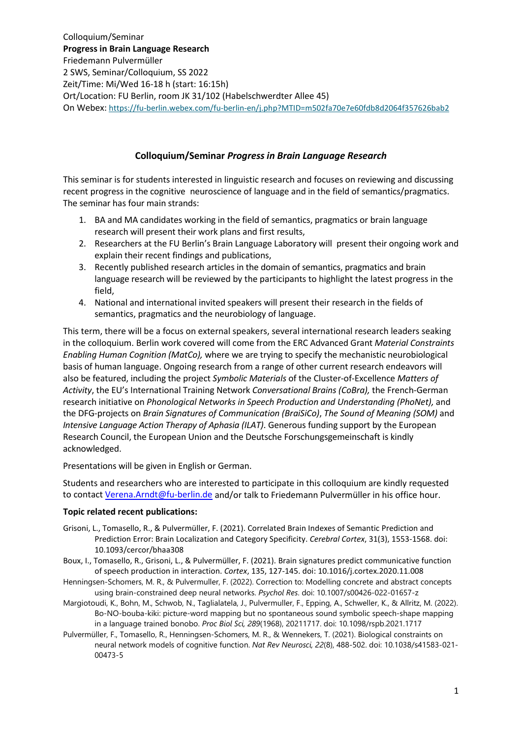# **Colloquium/Seminar** *Progress in Brain Language Research*

This seminar is for students interested in linguistic research and focuses on reviewing and discussing recent progress in the cognitive neuroscience of language and in the field of semantics/pragmatics. The seminar has four main strands:

- 1. BA and MA candidates working in the field of semantics, pragmatics or brain language research will present their work plans and first results,
- 2. Researchers at the FU Berlin's Brain Language Laboratory will present their ongoing work and explain their recent findings and publications,
- 3. Recently published research articles in the domain of semantics, pragmatics and brain language research will be reviewed by the participants to highlight the latest progress in the field,
- 4. National and international invited speakers will present their research in the fields of semantics, pragmatics and the neurobiology of language.

This term, there will be a focus on external speakers, several international research leaders seaking in the colloquium. Berlin work covered will come from the ERC Advanced Grant *Material Constraints Enabling Human Cognition (MatCo),* where we are trying to specify the mechanistic neurobiological basis of human language. Ongoing research from a range of other current research endeavors will also be featured, including the project *Symbolic Materials* of the Cluster-of-Excellence *Matters of Activity*, the EU's International Training Network *Conversational Brains (CoBra),* the French-German research initiative on *Phonological Networks in Speech Production and Understanding (PhoNet),* and the DFG-projects on *Brain Signatures of Communication (BraiSiCo)*, *The Sound of Meaning (SOM)* and *Intensive Language Action Therapy of Aphasia (ILAT)*. Generous funding support by the European Research Council, the European Union and the Deutsche Forschungsgemeinschaft is kindly acknowledged.

Presentations will be given in English or German.

Students and researchers who are interested to participate in this colloquium are kindly requested to contact [Verena.Arndt@fu-berlin.de](mailto:Verena.Arndt@fu-berlin.de) and/or talk to Friedemann Pulvermüller in his office hour.

## **Topic related recent publications:**

- Grisoni, L., Tomasello, R., & Pulvermüller, F. (2021). Correlated Brain Indexes of Semantic Prediction and Prediction Error: Brain Localization and Category Specificity. *Cerebral Cortex*, 31(3), 1553-1568. doi: 10.1093/cercor/bhaa308
- Boux, I., Tomasello, R., Grisoni, L., & Pulvermüller, F. (2021). Brain signatures predict communicative function of speech production in interaction. *Cortex*, 135, 127-145. doi: 10.1016/j.cortex.2020.11.008
- Henningsen-Schomers, M. R., & Pulvermuller, F. (2022). Correction to: Modelling concrete and abstract concepts using brain-constrained deep neural networks. *Psychol Res*. doi: 10.1007/s00426-022-01657-z
- Margiotoudi, K., Bohn, M., Schwob, N., Taglialatela, J., Pulvermuller, F., Epping, A., Schweller, K., & Allritz, M. (2022). Bo-NO-bouba-kiki: picture-word mapping but no spontaneous sound symbolic speech-shape mapping in a language trained bonobo. *Proc Biol Sci, 289*(1968), 20211717. doi: 10.1098/rspb.2021.1717
- Pulvermüller, F., Tomasello, R., Henningsen-Schomers, M. R., & Wennekers, T. (2021). Biological constraints on neural network models of cognitive function. *Nat Rev Neurosci, 22*(8), 488-502. doi: 10.1038/s41583-021- 00473-5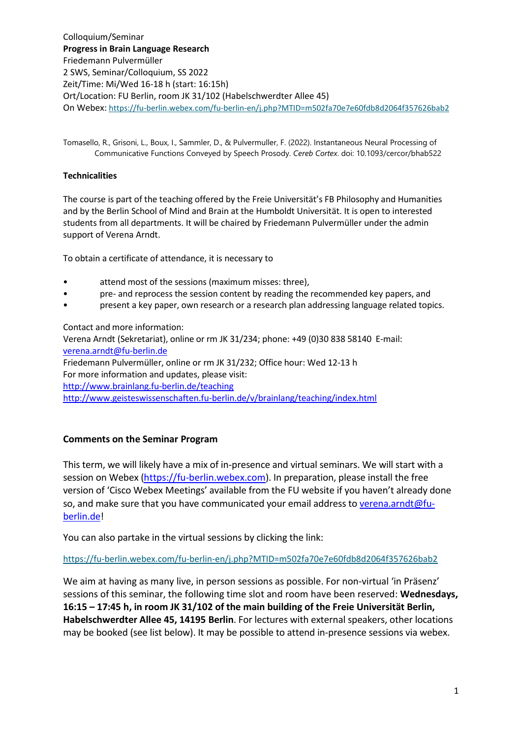Tomasello, R., Grisoni, L., Boux, I., Sammler, D., & Pulvermuller, F. (2022). Instantaneous Neural Processing of Communicative Functions Conveyed by Speech Prosody. *Cereb Cortex*. doi: 10.1093/cercor/bhab522

## **Technicalities**

The course is part of the teaching offered by the Freie Universität's FB Philosophy and Humanities and by the Berlin School of Mind and Brain at the Humboldt Universität. It is open to interested students from all departments. It will be chaired by Friedemann Pulvermüller under the admin support of Verena Arndt.

To obtain a certificate of attendance, it is necessary to

- attend most of the sessions (maximum misses: three),
- pre- and reprocess the session content by reading the recommended key papers, and
- present a key paper, own research or a research plan addressing language related topics.

Contact and more information:

Verena Arndt (Sekretariat), online or rm JK 31/234; phone: +49 (0)30 838 58140 E-mail: [verena.arndt@fu-berlin.de](mailto:verena.arndt@fu-berlin.de)

Friedemann Pulvermüller, online or rm JK 31/232; Office hour: Wed 12-13 h For more information and updates, please visit:

<http://www.brainlang.fu-berlin.de/teaching>

<http://www.geisteswissenschaften.fu-berlin.de/v/brainlang/teaching/index.html>

# **Comments on the Seminar Program**

This term, we will likely have a mix of in-presence and virtual seminars. We will start with a session on Webex [\(https://fu-berlin.webex.com\)](https://fu-berlin.webex.com/). In preparation, please install the free version of 'Cisco Webex Meetings' available from the FU website if you haven't already done so, and make sure that you have communicated your email address to [verena.arndt@fu](mailto:verena.arndt@fu-berlin.de)[berlin.de!](mailto:verena.arndt@fu-berlin.de)

You can also partake in the virtual sessions by clicking the link:

<https://fu-berlin.webex.com/fu-berlin-en/j.php?MTID=m502fa70e7e60fdb8d2064f357626bab2>

We aim at having as many live, in person sessions as possible. For non-virtual 'in Präsenz' sessions of this seminar, the following time slot and room have been reserved: **Wednesdays, 16:15 – 17:45 h, in room JK 31/102 of the main building of the Freie Universität Berlin, Habelschwerdter Allee 45, 14195 Berlin**. For lectures with external speakers, other locations may be booked (see list below). It may be possible to attend in-presence sessions via webex.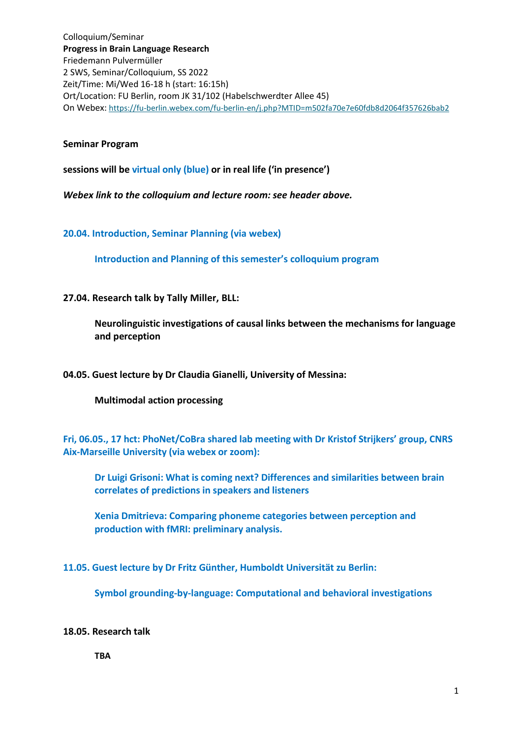#### **Seminar Program**

**sessions will be virtual only (blue) or in real life ('in presence')**

*Webex link to the colloquium and lecture room: see header above.*

**20.04. Introduction, Seminar Planning (via webex)**

**Introduction and Planning of this semester's colloquium program**

**27.04. Research talk by Tally Miller, BLL:**

**Neurolinguistic investigations of causal links between the mechanisms for language and perception**

**04.05. Guest lecture by Dr Claudia Gianelli, University of Messina:**

**Multimodal action processing**

**Fri, 06.05., 17 hct: PhoNet/CoBra shared lab meeting with Dr Kristof Strijkers' group, CNRS Aix-Marseille University (via webex or zoom):**

**Dr Luigi Grisoni: What is coming next? Differences and similarities between brain correlates of predictions in speakers and listeners**

**Xenia Dmitrieva: Comparing phoneme categories between perception and production with fMRI: preliminary analysis.**

**11.05. Guest lecture by Dr Fritz Günther, Humboldt Universität zu Berlin:**

**Symbol grounding-by-language: Computational and behavioral investigations**

## **18.05. Research talk**

**TBA**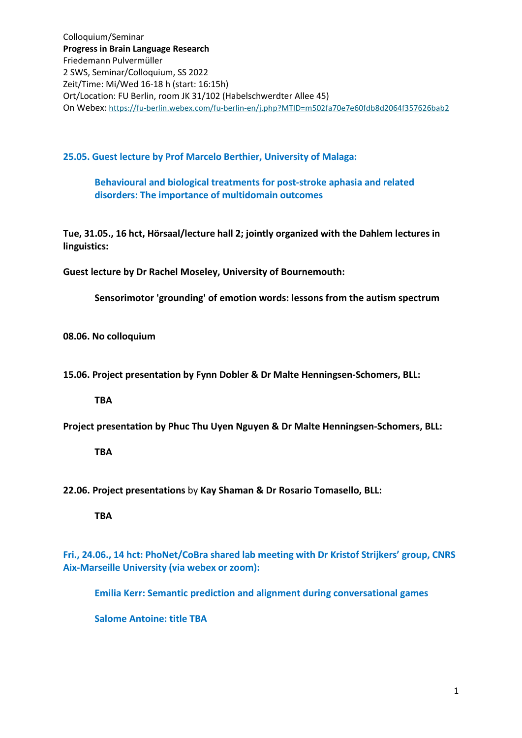**25.05. Guest lecture by Prof Marcelo Berthier, University of Malaga:**

**Behavioural and biological treatments for post-stroke aphasia and related disorders: The importance of multidomain outcomes**

**Tue, 31.05., 16 hct, Hörsaal/lecture hall 2; jointly organized with the Dahlem lectures in linguistics:**

**Guest lecture by Dr Rachel Moseley, University of Bournemouth:**

**Sensorimotor 'grounding' of emotion words: lessons from the autism spectrum**

**08.06. No colloquium**

**15.06. Project presentation by Fynn Dobler & Dr Malte Henningsen-Schomers, BLL:** 

**TBA**

**Project presentation by Phuc Thu Uyen Nguyen & Dr Malte Henningsen-Schomers, BLL:**

**TBA**

**22.06. Project presentations** by **Kay Shaman & Dr Rosario Tomasello, BLL:**

**TBA**

**Fri., 24.06., 14 hct: PhoNet/CoBra shared lab meeting with Dr Kristof Strijkers' group, CNRS Aix-Marseille University (via webex or zoom):**

**Emilia Kerr: Semantic prediction and alignment during conversational games**

**Salome Antoine: title TBA**